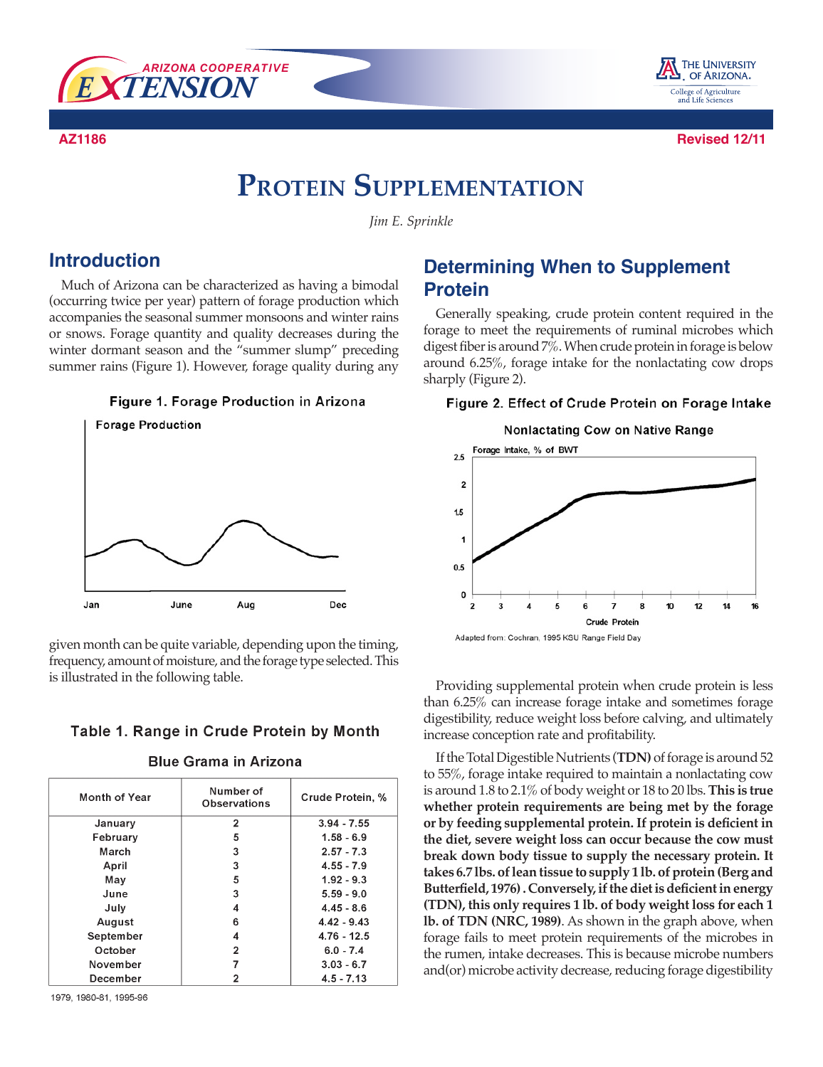



**AZ1186 Revised 12/11**

# **Protein Supplementation**

*Jim E. Sprinkle*

### **Introduction**

Much of Arizona can be characterized as having a bimodal (occurring twice per year) pattern of forage production which accompanies the seasonal summer monsoons and winter rains or snows. Forage quantity and quality decreases during the winter dormant season and the "summer slump" preceding summer rains (Figure 1). However, forage quality during any





given month can be quite variable, depending upon the timing, frequency, amount of moisture, and the forage type selected. This is illustrated in the following table.

### Table 1. Range in Crude Protein by Month

| Month of Year | Number of<br><b>Observations</b> | Crude Protein, % |
|---------------|----------------------------------|------------------|
| January       | $\overline{2}$                   | $3.94 - 7.55$    |
| February      | 5                                | $1.58 - 6.9$     |
| March         | 3                                | $2.57 - 7.3$     |
| April         | 3                                | $4.55 - 7.9$     |
| May           | 5                                | $1.92 - 9.3$     |
| June          | 3                                | $5.59 - 9.0$     |
| July          | 4                                | $4.45 - 8.6$     |
| August        | 6                                | $4.42 - 9.43$    |
| September     | 4                                | $4.76 - 12.5$    |
| October       | 2                                | $6.0 - 7.4$      |
| November      |                                  | $3.03 - 6.7$     |
| December      |                                  | $4.5 - 7.13$     |

**Blue Grama in Arizona** 

#### 1979, 1980-81, 1995-96

# **Determining When to Supplement Protein**

Generally speaking, crude protein content required in the forage to meet the requirements of ruminal microbes which digest fiber is around 7%. When crude protein in forage is below around 6.25%, forage intake for the nonlactating cow drops sharply (Figure 2).

#### Figure 2. Effect of Crude Protein on Forage Intake



Providing supplemental protein when crude protein is less than 6.25% can increase forage intake and sometimes forage digestibility, reduce weight loss before calving, and ultimately increase conception rate and profitability.

If the Total Digestible Nutrients (**TDN)** of forage is around 52 to 55%, forage intake required to maintain a nonlactating cow is around 1.8 to 2.1% of body weight or 18 to 20 lbs. **This is true whether protein requirements are being met by the forage or by feeding supplemental protein. If protein is deficient in the diet, severe weight loss can occur because the cow must break down body tissue to supply the necessary protein. It takes 6.7 lbs. of lean tissue to supply 1 lb. of protein (Berg and Butterfield, 1976) . Conversely, if the diet is deficient in energy (TDN), this only requires 1 lb. of body weight loss for each 1 lb. of TDN (NRC, 1989)**. As shown in the graph above, when forage fails to meet protein requirements of the microbes in the rumen, intake decreases. This is because microbe numbers and(or) microbe activity decrease, reducing forage digestibility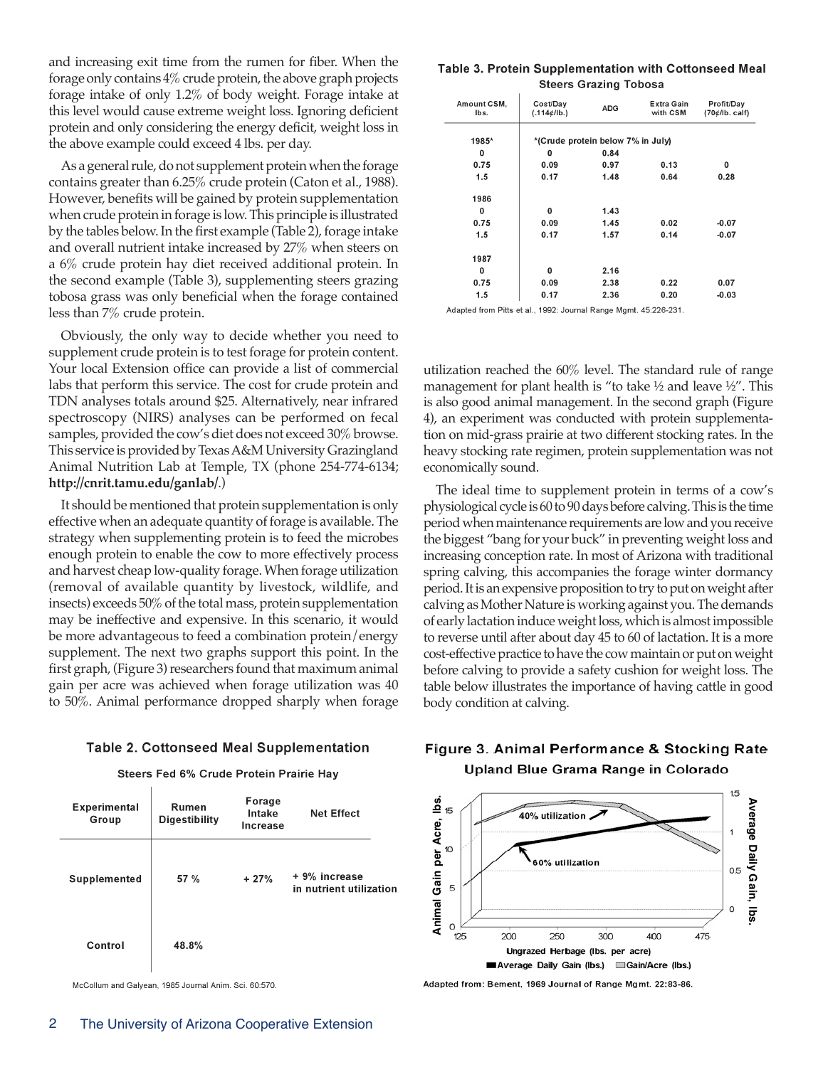and increasing exit time from the rumen for fiber. When the forage only contains 4% crude protein, the above graph projects forage intake of only 1.2% of body weight. Forage intake at this level would cause extreme weight loss. Ignoring deficient protein and only considering the energy deficit, weight loss in the above example could exceed 4 lbs. per day.

As a general rule, do not supplement protein when the forage contains greater than 6.25% crude protein (Caton et al., 1988). However, benefits will be gained by protein supplementation when crude protein in forage is low. This principle is illustrated by the tables below. In the first example (Table 2), forage intake and overall nutrient intake increased by 27% when steers on a 6% crude protein hay diet received additional protein. In the second example (Table 3), supplementing steers grazing tobosa grass was only beneficial when the forage contained less than 7% crude protein.

Obviously, the only way to decide whether you need to supplement crude protein is to test forage for protein content. Your local Extension office can provide a list of commercial labs that perform this service. The cost for crude protein and TDN analyses totals around \$25. Alternatively, near infrared spectroscopy (NIRS) analyses can be performed on fecal samples, provided the cow's diet does not exceed 30% browse. This service is provided by Texas A&M University Grazingland Animal Nutrition Lab at Temple, TX (phone 254-774-6134; **http://cnrit.tamu.edu/ganlab/**.)

It should be mentioned that protein supplementation is only effective when an adequate quantity of forage is available. The strategy when supplementing protein is to feed the microbes enough protein to enable the cow to more effectively process and harvest cheap low-quality forage. When forage utilization (removal of available quantity by livestock, wildlife, and insects) exceeds 50% of the total mass, protein supplementation may be ineffective and expensive. In this scenario, it would be more advantageous to feed a combination protein/energy supplement. The next two graphs support this point. In the first graph, (Figure 3) researchers found that maximum animal gain per acre was achieved when forage utilization was 40 to 50%. Animal performance dropped sharply when forage

#### **Table 2. Cottonseed Meal Supplementation**

Steers Fed 6% Crude Protein Prairie Hay

| Experimental<br>Group | Rumen<br><b>Digestibility</b> | Forage<br>Intake<br>Increase | Net Effect                               |
|-----------------------|-------------------------------|------------------------------|------------------------------------------|
| Supplemented          | 57 %                          | $+27%$                       | + 9% increase<br>in nutrient utilization |
| Control               | 48.8%                         |                              |                                          |

McCollum and Galyean, 1985 Journal Anim. Sci. 60:570

| Table 3. Protein Supplementation with Cottonseed Meal |  |
|-------------------------------------------------------|--|
| <b>Steers Grazing Tobosa</b>                          |  |

| Amount CSM,<br>lbs. | Cost/Day<br>(.114¢/lb.)           | <b>ADG</b> | Extra Gain<br>with CSM | Profit/Day<br>(70¢/lb. calf) |
|---------------------|-----------------------------------|------------|------------------------|------------------------------|
| 1985*               | *(Crude protein below 7% in July) |            |                        |                              |
| 0                   | 0                                 | 0.84       |                        |                              |
| 0.75                | 0.09                              | 0.97       | 0.13                   | 0                            |
| 1.5                 | 0.17                              | 1.48       | 0.64                   | 0.28                         |
| 1986                |                                   |            |                        |                              |
| 0                   | 0                                 | 1.43       |                        |                              |
| 0.75                | 0.09                              | 1.45       | 0.02                   | $-0.07$                      |
| 1.5                 | 0.17                              | 1.57       | 0.14                   | $-0.07$                      |
| 1987                |                                   |            |                        |                              |
| 0                   | 0                                 | 2.16       |                        |                              |
| 0.75                | 0.09                              | 2.38       | 0.22                   | 0.07                         |
| 1.5                 | 0.17                              | 2.36       | 0.20                   | $-0.03$                      |

Adapted from Pitts et al., 1992: Journal Range Mgmt. 45:226-231

utilization reached the 60% level. The standard rule of range management for plant health is "to take ½ and leave ½". This is also good animal management. In the second graph (Figure 4), an experiment was conducted with protein supplementation on mid-grass prairie at two different stocking rates. In the heavy stocking rate regimen, protein supplementation was not economically sound.

The ideal time to supplement protein in terms of a cow's physiological cycle is 60 to 90 days before calving. This is the time period when maintenance requirements are low and you receive the biggest "bang for your buck" in preventing weight loss and increasing conception rate. In most of Arizona with traditional spring calving, this accompanies the forage winter dormancy period. It is an expensive proposition to try to put on weight after calving as Mother Nature is working against you. The demands of early lactation induce weight loss, which is almost impossible to reverse until after about day 45 to 60 of lactation. It is a more cost-effective practice to have the cow maintain or put on weight before calving to provide a safety cushion for weight loss. The table below illustrates the importance of having cattle in good body condition at calving.

### Figure 3. Animal Performance & Stocking Rate Upland Blue Grama Range in Colorado



Adapted from: Bement, 1969 Journal of Range Mgmt. 22:83-86.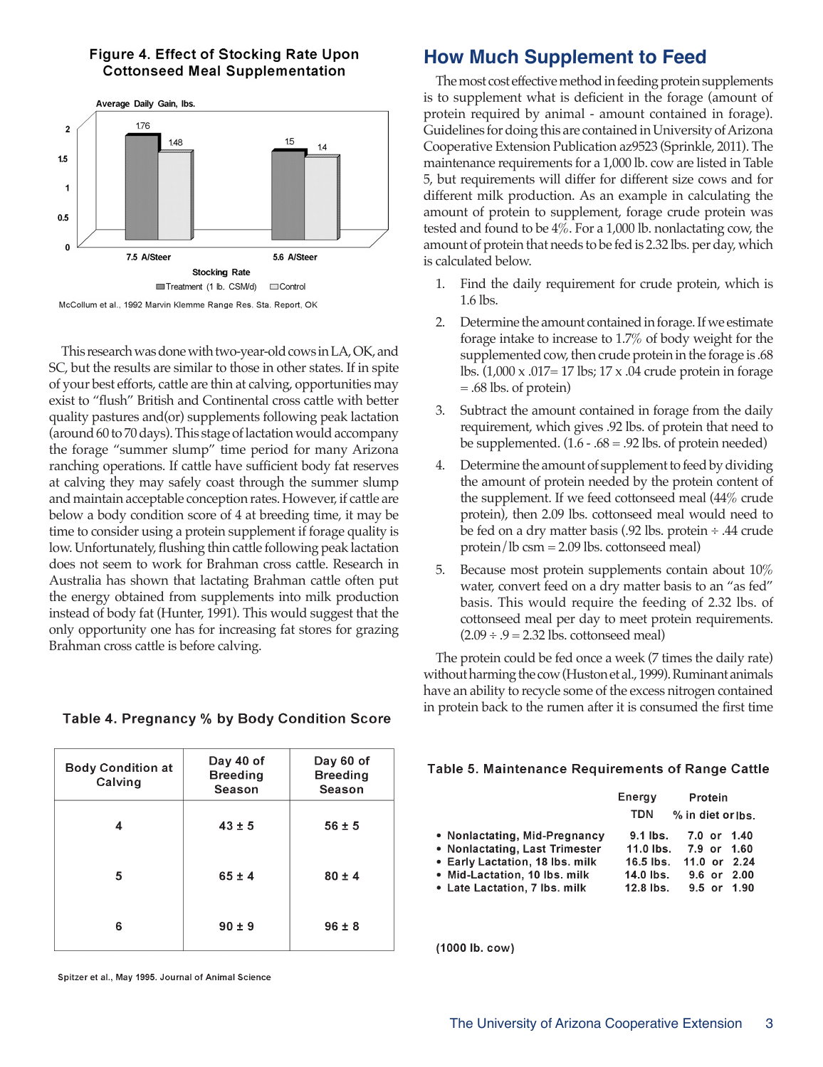### Figure 4. Effect of Stocking Rate Upon **Cottonseed Meal Supplementation**



McCollum et al., 1992 Marvin Klemme Range Res. Sta. Report, OK

This research was done with two-year-old cows in LA, OK, and SC, but the results are similar to those in other states. If in spite of your best efforts, cattle are thin at calving, opportunities may exist to "flush" British and Continental cross cattle with better quality pastures and(or) supplements following peak lactation (around 60 to 70 days). This stage of lactation would accompany the forage "summer slump" time period for many Arizona ranching operations. If cattle have sufficient body fat reserves at calving they may safely coast through the summer slump and maintain acceptable conception rates. However, if cattle are below a body condition score of 4 at breeding time, it may be time to consider using a protein supplement if forage quality is low. Unfortunately, flushing thin cattle following peak lactation does not seem to work for Brahman cross cattle. Research in Australia has shown that lactating Brahman cattle often put the energy obtained from supplements into milk production instead of body fat (Hunter, 1991). This would suggest that the only opportunity one has for increasing fat stores for grazing Brahman cross cattle is before calving.

#### Day 40 of Day 60 of **Body Condition at Breeding Breeding** Calving Season Season  $\overline{4}$  $43 \pm 5$  $56 \pm 5$ 5  $65 \pm 4$  $80 \pm 4$ 6  $90 \pm 9$  $96 \pm 8$

Table 4. Pregnancy % by Body Condition Score

#### Spitzer et al., May 1995. Journal of Animal Science

# **How Much Supplement to Feed**

The most cost effective method in feeding protein supplements is to supplement what is deficient in the forage (amount of protein required by animal - amount contained in forage). Guidelines for doing this are contained in University of Arizona Cooperative Extension Publication az9523 (Sprinkle, 2011). The maintenance requirements for a 1,000 lb. cow are listed in Table 5, but requirements will differ for different size cows and for different milk production. As an example in calculating the amount of protein to supplement, forage crude protein was tested and found to be 4%. For a 1,000 lb. nonlactating cow, the amount of protein that needs to be fed is 2.32 lbs. per day, which is calculated below.

- 1. Find the daily requirement for crude protein, which is 1.6 lbs.
- 2. Determine the amount contained in forage. If we estimate forage intake to increase to 1.7% of body weight for the supplemented cow, then crude protein in the forage is .68 lbs. (1,000 x .017= 17 lbs; 17 x .04 crude protein in forage = .68 lbs. of protein)
- 3. Subtract the amount contained in forage from the daily requirement, which gives .92 lbs. of protein that need to be supplemented.  $(1.6 - .68 = .92 \text{ lbs. of protein needed})$
- 4. Determine the amount of supplement to feed by dividing the amount of protein needed by the protein content of the supplement. If we feed cottonseed meal (44% crude protein), then 2.09 lbs. cottonseed meal would need to be fed on a dry matter basis (.92 lbs. protein ÷ .44 crude protein/lb csm = 2.09 lbs. cottonseed meal)
- 5. Because most protein supplements contain about 10% water, convert feed on a dry matter basis to an "as fed" basis. This would require the feeding of 2.32 lbs. of cottonseed meal per day to meet protein requirements.  $(2.09 \div .9 = 2.32$  lbs. cottonseed meal)

The protein could be fed once a week (7 times the daily rate) without harming the cow (Huston et al., 1999). Ruminant animals have an ability to recycle some of the excess nitrogen contained in protein back to the rumen after it is consumed the first time

### Table 5. Maintenance Requirements of Range Cattle

|                                                                 | Energy<br><b>TDN</b>  | Protein<br>% in diet or lbs. |              |
|-----------------------------------------------------------------|-----------------------|------------------------------|--------------|
| • Nonlactating, Mid-Pregnancy<br>• Nonlactating, Last Trimester | 9.1 lbs.<br>11.0 lbs. | 7.0 or<br>7.9 or             | 1.40<br>1.60 |
| • Early Lactation, 18 lbs. milk                                 | $16.5$ lbs.           | 11.0 or $2.24$               |              |
| • Mid-Lactation, 10 lbs, milk                                   | 14.0 lbs.             | 9.6 or $2.00$                |              |
| • Late Lactation, 7 lbs. milk                                   | $12.8$ lbs.           | $9.5$ or $1.90$              |              |

(1000 lb. cow)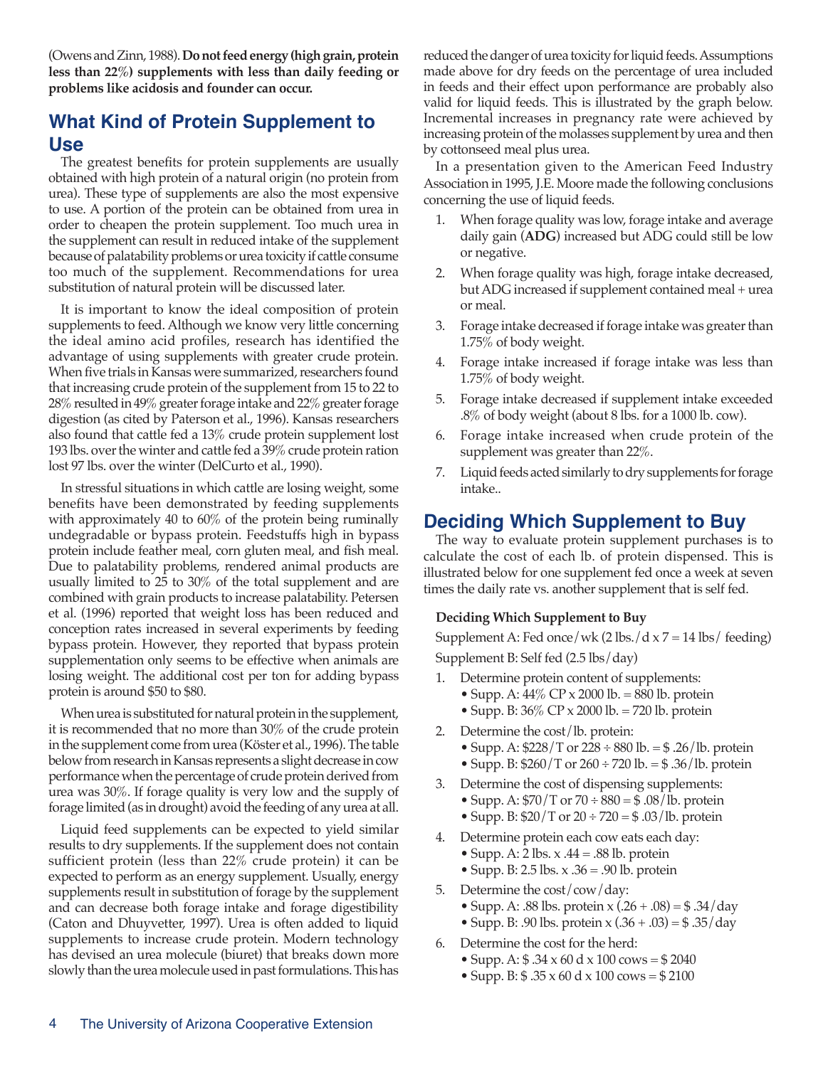(Owens and Zinn, 1988). **Do not feed energy (high grain, protein less than 22%) supplements with less than daily feeding or problems like acidosis and founder can occur.**

# **What Kind of Protein Supplement to Use**

The greatest benefits for protein supplements are usually obtained with high protein of a natural origin (no protein from urea). These type of supplements are also the most expensive to use. A portion of the protein can be obtained from urea in order to cheapen the protein supplement. Too much urea in the supplement can result in reduced intake of the supplement because of palatability problems or urea toxicity if cattle consume too much of the supplement. Recommendations for urea substitution of natural protein will be discussed later.

It is important to know the ideal composition of protein supplements to feed. Although we know very little concerning the ideal amino acid profiles, research has identified the advantage of using supplements with greater crude protein. When five trials in Kansas were summarized, researchers found that increasing crude protein of the supplement from 15 to 22 to 28% resulted in 49% greater forage intake and 22% greater forage digestion (as cited by Paterson et al., 1996). Kansas researchers also found that cattle fed a 13% crude protein supplement lost 193 lbs. over the winter and cattle fed a 39% crude protein ration lost 97 lbs. over the winter (DelCurto et al., 1990).

In stressful situations in which cattle are losing weight, some benefits have been demonstrated by feeding supplements with approximately 40 to 60% of the protein being ruminally undegradable or bypass protein. Feedstuffs high in bypass protein include feather meal, corn gluten meal, and fish meal. Due to palatability problems, rendered animal products are usually limited to 25 to 30% of the total supplement and are combined with grain products to increase palatability. Petersen et al. (1996) reported that weight loss has been reduced and conception rates increased in several experiments by feeding bypass protein. However, they reported that bypass protein supplementation only seems to be effective when animals are losing weight. The additional cost per ton for adding bypass protein is around \$50 to \$80.

When urea is substituted for natural protein in the supplement, it is recommended that no more than 30% of the crude protein in the supplement come from urea (Köster et al., 1996). The table below from research in Kansas represents a slight decrease in cow performance when the percentage of crude protein derived from urea was 30%. If forage quality is very low and the supply of forage limited (as in drought) avoid the feeding of any urea at all.

Liquid feed supplements can be expected to yield similar results to dry supplements. If the supplement does not contain sufficient protein (less than 22% crude protein) it can be expected to perform as an energy supplement. Usually, energy supplements result in substitution of forage by the supplement and can decrease both forage intake and forage digestibility (Caton and Dhuyvetter, 1997). Urea is often added to liquid supplements to increase crude protein. Modern technology has devised an urea molecule (biuret) that breaks down more slowly than the urea molecule used in past formulations. This has

reduced the danger of urea toxicity for liquid feeds. Assumptions made above for dry feeds on the percentage of urea included in feeds and their effect upon performance are probably also valid for liquid feeds. This is illustrated by the graph below. Incremental increases in pregnancy rate were achieved by increasing protein of the molasses supplement by urea and then by cottonseed meal plus urea.

In a presentation given to the American Feed Industry Association in 1995, J.E. Moore made the following conclusions concerning the use of liquid feeds.

- 1. When forage quality was low, forage intake and average daily gain (**ADG**) increased but ADG could still be low or negative.
- 2. When forage quality was high, forage intake decreased, but ADG increased if supplement contained meal + urea or meal.
- 3. Forage intake decreased if forage intake was greater than 1.75% of body weight.
- 4. Forage intake increased if forage intake was less than 1.75% of body weight.
- 5. Forage intake decreased if supplement intake exceeded .8% of body weight (about 8 lbs. for a 1000 lb. cow).
- 6. Forage intake increased when crude protein of the supplement was greater than 22%.
- 7. Liquid feeds acted similarly to dry supplements for forage intake..

### **Deciding Which Supplement to Buy**

The way to evaluate protein supplement purchases is to calculate the cost of each lb. of protein dispensed. This is illustrated below for one supplement fed once a week at seven times the daily rate vs. another supplement that is self fed.

#### **Deciding Which Supplement to Buy**

Supplement A: Fed once/wk  $(2 \text{ lbs.}/d \times 7 = 14 \text{ lbs/ feeding})$ Supplement B: Self fed (2.5 lbs/day)

- 1. Determine protein content of supplements:
	- Supp. A:  $44\%$  CP x 2000 lb. = 880 lb. protein
	- Supp. B: 36% CP x 2000 lb. = 720 lb. protein
- 2. Determine the cost/lb. protein:
	- Supp. A:  $$228/T$  or  $228 \div 880$  lb.  $= $.26/l$ b. protein • Supp. B:  $$260/T$  or  $260 \div 720$  lb.  $= $36/lb$ . protein
- 3. Determine the cost of dispensing supplements: • Supp. A:  $\frac{570}{T}$  or  $70 \div 880 = \frac{600}{T}$ . protein
	- Supp. B:  $$20/T$  or  $20 \div 720 = $.03/lb$ . protein
- 4. Determine protein each cow eats each day:
	- Supp. A:  $2 \text{ lbs. x } .44 = .88 \text{ lb. protein}$
	- Supp. B:  $2.5$  lbs.  $x \cdot 36 = .90$  lb. protein
- 5. Determine the cost/cow/day:
	- Supp. A: .88 lbs. protein x  $(.26 + .08) = $.34/day$
	- Supp. B: .90 lbs. protein  $x(.36+.03) = $.35/day$
- 6. Determine the cost for the herd:
	- Supp. A:  $$ .34 \times 60 \text{ d} \times 100 \text{ cows} = $ 2040$
	- Supp. B:  $$ .35 \times 60 \text{ d} \times 100 \text{ cows} = $ 2100$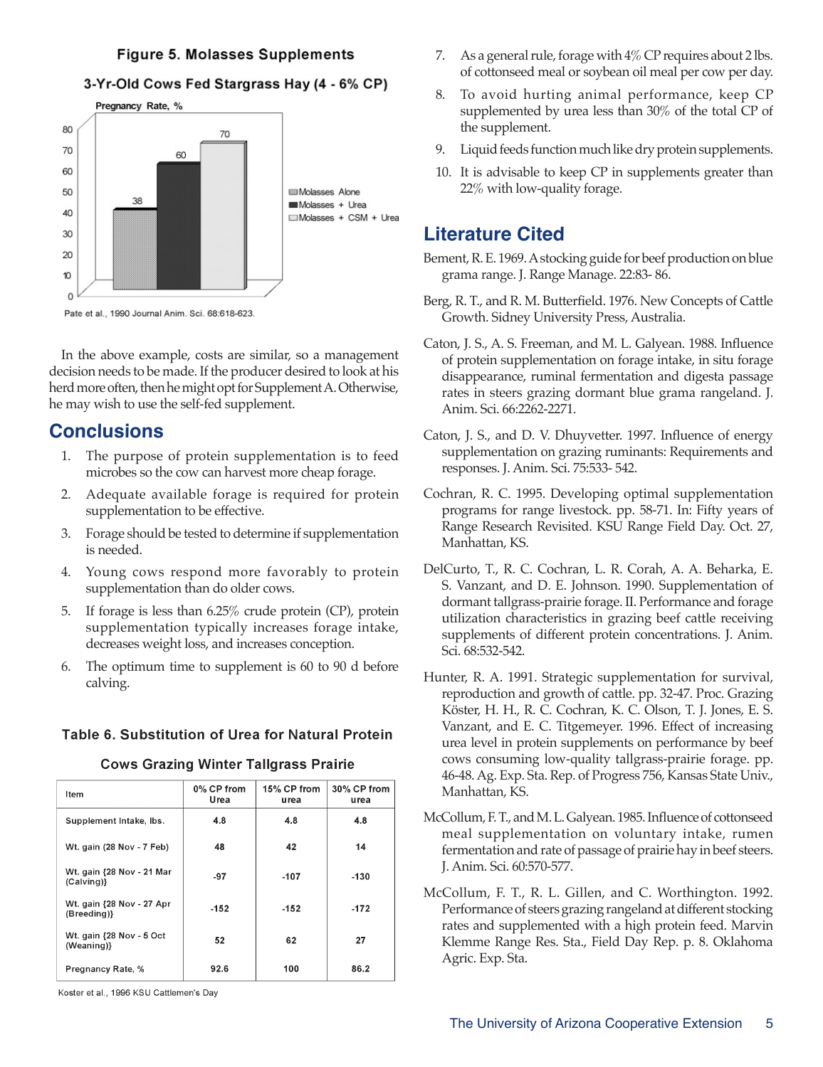### **Figure 5. Molasses Supplements**

#### 3-Yr-Old Cows Fed Stargrass Hay (4 - 6% CP)



In the above example, costs are similar, so a management decision needs to be made. If the producer desired to look at his herd more often, then he might opt for Supplement A. Otherwise, he may wish to use the self-fed supplement.

### **Conclusions**

- 1. The purpose of protein supplementation is to feed microbes so the cow can harvest more cheap forage.
- 2. Adequate available forage is required for protein supplementation to be effective.
- 3. Forage should be tested to determine if supplementation is needed.
- 4. Young cows respond more favorably to protein supplementation than do older cows.
- 5. If forage is less than 6.25% crude protein (CP), protein supplementation typically increases forage intake, decreases weight loss, and increases conception.
- 6. The optimum time to supplement is 60 to 90 d before calving.

#### Table 6. Substitution of Urea for Natural Protein

| Item                                     | 0% CP from<br>Urea | 15% CP from<br>urea | 30% CP from<br>urea |
|------------------------------------------|--------------------|---------------------|---------------------|
| Supplement Intake, Ibs.                  | 4.8                | 4.8                 | 4.8                 |
| Wt. gain (28 Nov - 7 Feb)                | 48                 | 42                  | 14                  |
| Wt. gain {28 Nov - 21 Mar<br>(Calving)}  | -97                | $-107$              | $-130$              |
| Wt. gain {28 Nov - 27 Apr<br>(Breeding)} | $-152$             | $-152$              | $-172$              |
| Wt. gain {28 Nov - 5 Oct<br>(Weaning)}   | 52                 | 62                  | 27                  |
| Pregnancy Rate, %                        | 92.6               | 100                 | 86.2                |

**Cows Grazing Winter Tallgrass Prairie** 

Koster et al., 1996 KSU Cattlemen's Day

- 7. As a general rule, forage with 4% CP requires about 2 lbs. of cottonseed meal or soybean oil meal per cow per day.
- 8. To avoid hurting animal performance, keep CP supplemented by urea less than 30% of the total CP of the supplement.
- 9. Liquid feeds function much like dry protein supplements.
- 10. It is advisable to keep CP in supplements greater than 22% with low-quality forage.

### **Literature Cited**

- Bement, R. E. 1969. A stocking guide for beef production on blue grama range. J. Range Manage. 22:83- 86.
- Berg, R. T., and R. M. Butterfield. 1976. New Concepts of Cattle Growth. Sidney University Press, Australia.
- Caton, J. S., A. S. Freeman, and M. L. Galyean. 1988. Influence of protein supplementation on forage intake, in situ forage disappearance, ruminal fermentation and digesta passage rates in steers grazing dormant blue grama rangeland. J. Anim. Sci. 66:2262-2271.
- Caton, J. S., and D. V. Dhuyvetter. 1997. Influence of energy supplementation on grazing ruminants: Requirements and responses. J. Anim. Sci. 75:533- 542.
- Cochran, R. C. 1995. Developing optimal supplementation programs for range livestock. pp. 58-71. In: Fifty years of Range Research Revisited. KSU Range Field Day. Oct. 27, Manhattan, KS.
- DelCurto, T., R. C. Cochran, L. R. Corah, A. A. Beharka, E. S. Vanzant, and D. E. Johnson. 1990. Supplementation of dormant tallgrass-prairie forage. II. Performance and forage utilization characteristics in grazing beef cattle receiving supplements of different protein concentrations. J. Anim. Sci. 68:532-542.
- Hunter, R. A. 1991. Strategic supplementation for survival, reproduction and growth of cattle. pp. 32-47. Proc. Grazing Köster, H. H., R. C. Cochran, K. C. Olson, T. J. Jones, E. S. Vanzant, and E. C. Titgemeyer. 1996. Effect of increasing urea level in protein supplements on performance by beef cows consuming low-quality tallgrass-prairie forage. pp. 46-48. Ag. Exp. Sta. Rep. of Progress 756, Kansas State Univ., Manhattan, KS.
- McCollum, F. T., and M. L. Galyean. 1985. Influence of cottonseed meal supplementation on voluntary intake, rumen fermentation and rate of passage of prairie hay in beef steers. J. Anim. Sci. 60:570-577.
- McCollum, F. T., R. L. Gillen, and C. Worthington. 1992. Performance of steers grazing rangeland at different stocking rates and supplemented with a high protein feed. Marvin Klemme Range Res. Sta., Field Day Rep. p. 8. Oklahoma Agric. Exp. Sta.